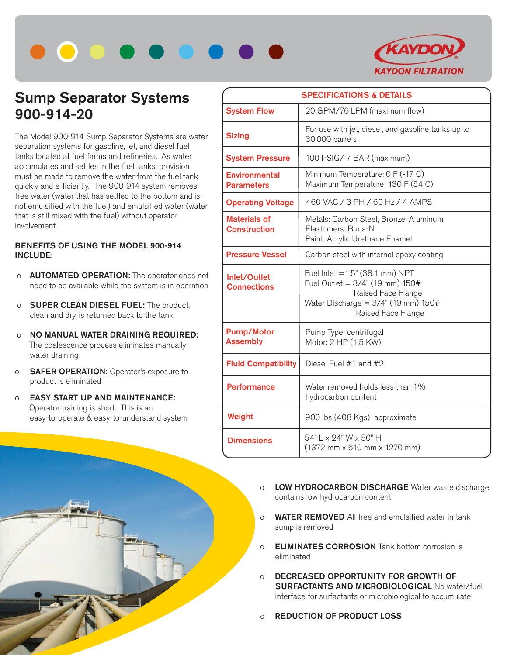



## **Sump Separator Systems 900-914-20**

The Model 900-914 Sump Separator Systems are water separation systems for gasoline, jet, and diesel fuel tanks located at fuel farms and refineries. As water accumulates and settles in the fuel tanks, provision must be made to remove the water from the fuel tank quickly and efficiently. The 900-914 system removes free water (water that has settled to the bottom and is not emulsified with the fuel) and emulsified water (water that is still mixed with the fuel) without operator involvement.

## **BENEFITS OF USING THE MODEL 900-914 INCLUDE:**

- o **AUTOMATED OPERATION:** The operator does not need to be available while the system is in operation
- o **SUPER CLEAN DIESEL FUEL:** The product, clean and dry, is returned back to the tank
- o **NO MANUAL WATER DRAINING REQUIRED:** The coalescence process eliminates manually water draining
- o **SAFER OPERATION:** Operator's exposure to product is eliminated
- o **EASY START UP AND MAINTENANCE:** Operator training is short. This is an easy-to-operate & easy-to-understand system



- o **LOW HYDROCARBON DISCHARGE** Water waste discharge contains low hydrocarbon content
- o **WATER REMOVED** All free and emulsified water in tank sump is removed
- o **ELIMINATES CORROSION** Tank bottom corrosion is eliminated
- o **DECREASED OPPORTUNITY FOR GROWTH OF SURFACTANTS AND MICROBIOLOGICAL** No water/fuel interface for surfactants or microbiological to accumulate
- o **REDUCTION OF PRODUCT LOSS**